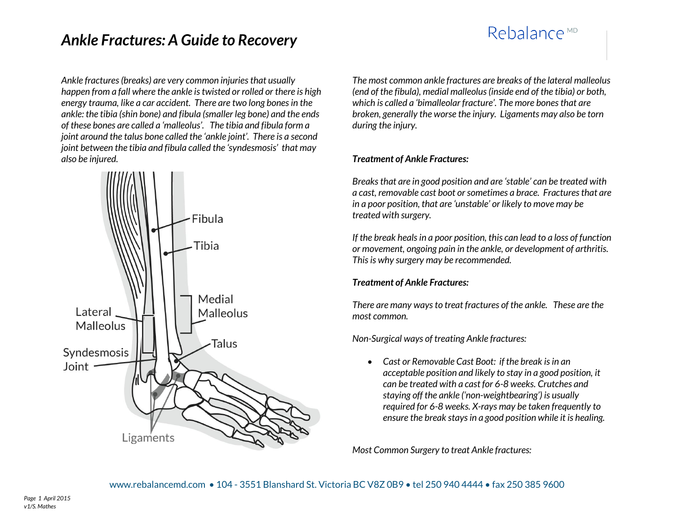# Rebalance<sup>MD</sup>

*Ankle fractures (breaks) are very common injuries that usually happen from a fall where the ankle is twisted or rolled or there is high energy trauma, like a car accident. There are two long bones in the ankle: the tibia (shin bone) and fibula (smaller leg bone) and the ends of these bones are called a 'malleolus'. The tibia and fibula form a joint around the talus bone called the 'ankle joint'. There is a second joint between the tibia and fibula called the 'syndesmosis' that may also be injured.*



*The most common ankle fractures are breaks of the lateral malleolus (end of the fibula), medial malleolus (inside end of the tibia) or both, which is called a 'bimalleolar fracture'. The more bones that are broken, generally the worse the injury. Ligaments may also be torn during the injury.*

#### *Treatment of Ankle Fractures:*

*Breaks that are in good position and are 'stable' can be treated with a cast, removable cast boot or sometimes a brace. Fractures that are in a poor position, that are 'unstable' or likely to move may be treated with surgery.*

*If the break heals in a poor position, this can lead to a loss of function or movement, ongoing pain in the ankle, or development of arthritis. This is why surgery may be recommended.*

## *Treatment of Ankle Fractures:*

*There are many ways to treat fractures of the ankle. These are the most common.*

*Non-Surgical ways of treating Ankle fractures:*

 *Cast or Removable Cast Boot: if the break is in an acceptable position and likely to stay in a good position, it can be treated with a cast for 6-8 weeks. Crutches and staying off the ankle ('non-weightbearing') is usually required for 6-8 weeks. X-rays may be taken frequently to ensure the break stays in a good position while it is healing.*

*Most Common Surgery to treat Ankle fractures:*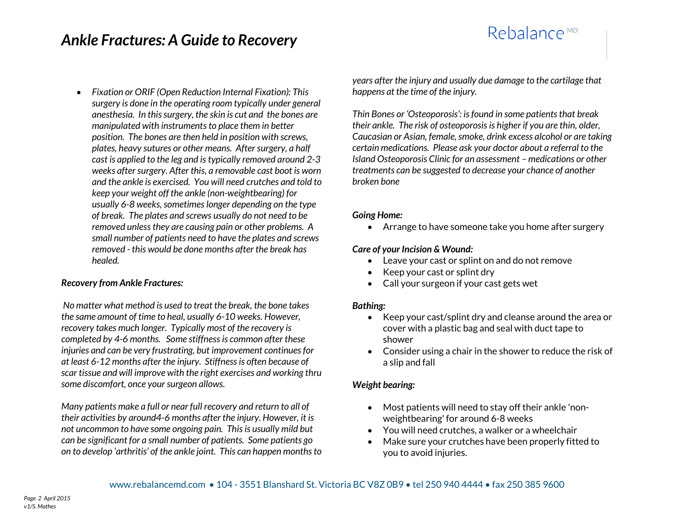# Rebalance<sup>MD</sup>

 *Fixation or ORIF (Open Reduction Internal Fixation): This surgery is done in the operating room typically under general anesthesia. In this surgery, the skin is cut and the bones are manipulated with instruments to place them in better position. The bones are then held in position with screws, plates, heavy sutures or other means. After surgery, a half cast is applied to the leg and is typically removed around 2-3 weeks after surgery. After this, a removable cast boot is worn and the ankle is exercised. You will need crutches and told to keep your weight off the ankle (non-weightbearing) for usually 6-8 weeks, sometimes longer depending on the type of break. The plates and screws usually do not need to be removed unless they are causing pain or other problems. A small number of patients need to have the plates and screws removed - this would be done months after the break has healed.*

#### *Recovery from Ankle Fractures:*

*No matter what method is used to treat the break, the bone takes the same amount of time to heal, usually 6-10 weeks. However, recovery takes much longer. Typically most of the recovery is completed by 4-6 months. Some stiffness is common after these injuries and can be very frustrating, but improvement continues for at least 6-12 months after the injury. Stiffness is often because of scar tissue and will improve with the right exercises and working thru some discomfort, once your surgeon allows.* 

*Many patients make a full or near full recovery and return to all of their activities by around4-6 months after the injury. However, it is not uncommon to have some ongoing pain. This is usually mild but can be significant for a small number of patients. Some patients go on to develop 'arthritis' of the ankle joint. This can happen months to*  *years after the injury and usually due damage to the cartilage that happens at the time of the injury.*

*Thin Bones or 'Osteoporosis': is found in some patients that break their ankle. The risk of osteoporosis is higher if you are thin, older, Caucasian or Asian, female, smoke, drink excess alcohol or are taking certain medications. Please ask your doctor about a referral to the Island Osteoporosis Clinic for an assessment – medications or other treatments can be suggested to decrease your chance of another broken bone*

#### *Going Home:*

Arrange to have someone take you home after surgery

#### *Care of your Incision & Wound:*

- Leave your cast or splint on and do not remove
- Keep your cast or splint dry
- Call your surgeon if your cast gets wet

#### *Bathing:*

- Keep your cast/splint dry and cleanse around the area or cover with a plastic bag and seal with duct tape to shower
- Consider using a chair in the shower to reduce the risk of a slip and fall

#### *Weight bearing:*

- Most patients will need to stay off their ankle 'nonweightbearing' for around 6-8 weeks
- You will need crutches, a walker or a wheelchair
- Make sure your crutches have been properly fitted to you to avoid injuries.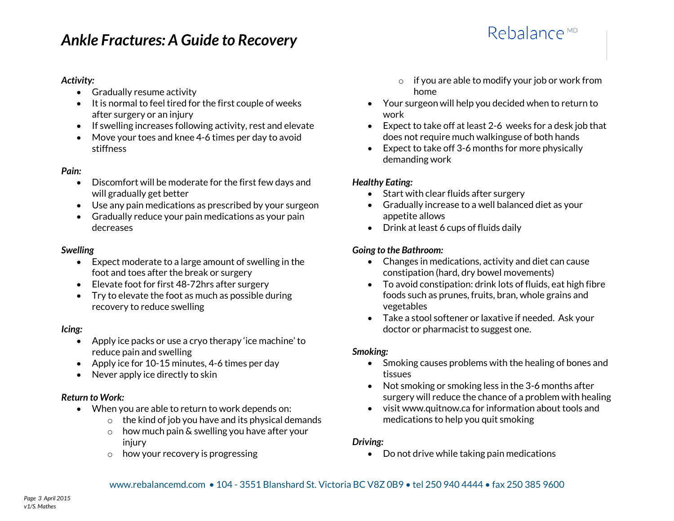### *Activity:*

- Gradually resume activity
- $\bullet$  It is normal to feel tired for the first couple of weeks after surgery or an injury
- If swelling increases following activity, rest and elevate
- Move your toes and knee 4-6 times per day to avoid stiffness

#### *Pain:*

- Discomfort will be moderate for the first few days and will gradually get better
- Use any pain medications as prescribed by your surgeon
- Gradually reduce your pain medications as your pain decreases

#### *Swelling*

- Expect moderate to a large amount of swelling in the foot and toes after the break or surgery
- Elevate foot for first 48-72hrs after surgery
- Try to elevate the foot as much as possible during recovery to reduce swelling

#### *Icing:*

- Apply ice packs or use a cryo therapy 'ice machine' to reduce pain and swelling
- Apply ice for 10-15 minutes, 4-6 times per day
- Never apply ice directly to skin

## *Return to Work:*

- When you are able to return to work depends on:
	- $\circ$  the kind of job you have and its physical demands
	- $\circ$  how much pain & swelling you have after your injury
	- o how your recovery is progressing
- o if you are able to modify your job or work from home
- Your surgeon will help you decided when to return to work
- Expect to take off at least 2-6 weeks for a desk job that does not require much walkinguse of both hands
- Expect to take off 3-6 months for more physically demanding work

## *Healthy Eating:*

- Start with clear fluids after surgery
- Gradually increase to a well balanced diet as your appetite allows
- Drink at least 6 cups of fluids daily

## *Going to the Bathroom:*

- Changes in medications, activity and diet can cause constipation (hard, dry bowel movements)
- To avoid constipation: drink lots of fluids, eat high fibre foods such as prunes, fruits, bran, whole grains and vegetables
- Take a stool softener or laxative if needed. Ask your doctor or pharmacist to suggest one.

## *Smoking:*

- Smoking causes problems with the healing of bones and tissues
- Not smoking or smoking less in the 3-6 months after surgery will reduce the chance of a problem with healing
- visit www.quitnow.ca for information about tools and medications to help you quit smoking

## *Driving:*

Do not drive while taking pain medications

# Rebalance<sup>MD</sup>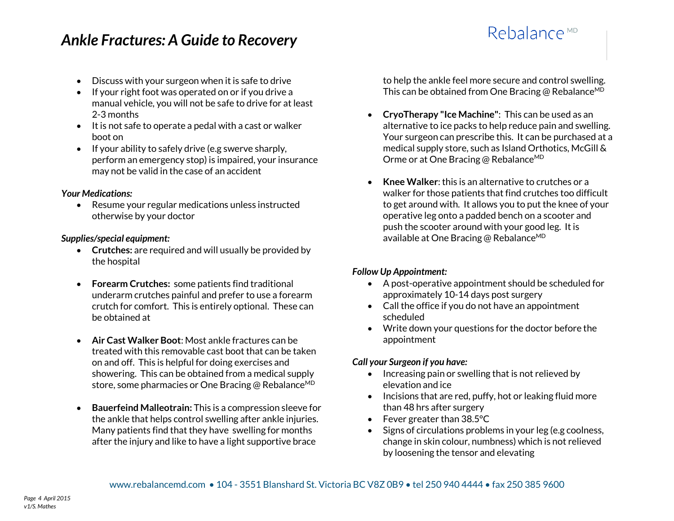- Discuss with your surgeon when it is safe to drive
- $\bullet$  If your right foot was operated on or if you drive a manual vehicle, you will not be safe to drive for at least 2-3 months
- $\bullet$  It is not safe to operate a pedal with a cast or walker boot on
- $\bullet$  If your ability to safely drive (e.g swerve sharply, perform an emergency stop) is impaired, your insurance may not be valid in the case of an accident

#### *Your Medications:*

• Resume your regular medications unless instructed otherwise by your doctor

#### *Supplies/special equipment:*

- **Crutches:** are required and will usually be provided by the hospital
- **Forearm Crutches:** some patients find traditional underarm crutches painful and prefer to use a forearm crutch for comfort. This is entirely optional. These can be obtained at
- **Air Cast Walker Boot**: Most ankle fractures can be treated with this removable cast boot that can be taken on and off. This is helpful for doing exercises and showering. This can be obtained from a medical supply store, some pharmacies or One Bracing @ Rebalance<sup>MD</sup>
- **Bauerfeind Malleotrain:** This is a compression sleeve for the ankle that helps control swelling after ankle injuries. Many patients find that they have swelling for months after the injury and like to have a light supportive brace

to help the ankle feel more secure and control swelling. This can be obtained from One Bracing @ Rebalance<sup>MD</sup>

Rebalance<sup>MD</sup>

- **CryoTherapy "Ice Machine"**: This can be used as an alternative to ice packs to help reduce pain and swelling. Your surgeon can prescribe this. It can be purchased at a medical supply store, such as Island Orthotics, McGill & Orme or at One Bracing @ Rebalance<sup>MD</sup>
- **Knee Walker**: this is an alternative to crutches or a walker for those patients that find crutches too difficult to get around with. It allows you to put the knee of your operative leg onto a padded bench on a scooter and push the scooter around with your good leg. It is available at One Bracing @ Rebalance<sup>MD</sup>

## *Follow Up Appointment:*

- A post-operative appointment should be scheduled for approximately 10-14 days post surgery
- Call the office if you do not have an appointment scheduled
- Write down your questions for the doctor before the appointment

## *Call your Surgeon if you have:*

- Increasing pain or swelling that is not relieved by elevation and ice
- $\bullet$  Incisions that are red, puffy, hot or leaking fluid more than 48 hrs after surgery
- Fever greater than 38.5°C
- Signs of circulations problems in your leg (e.g coolness, change in skin colour, numbness) which is not relieved by loosening the tensor and elevating